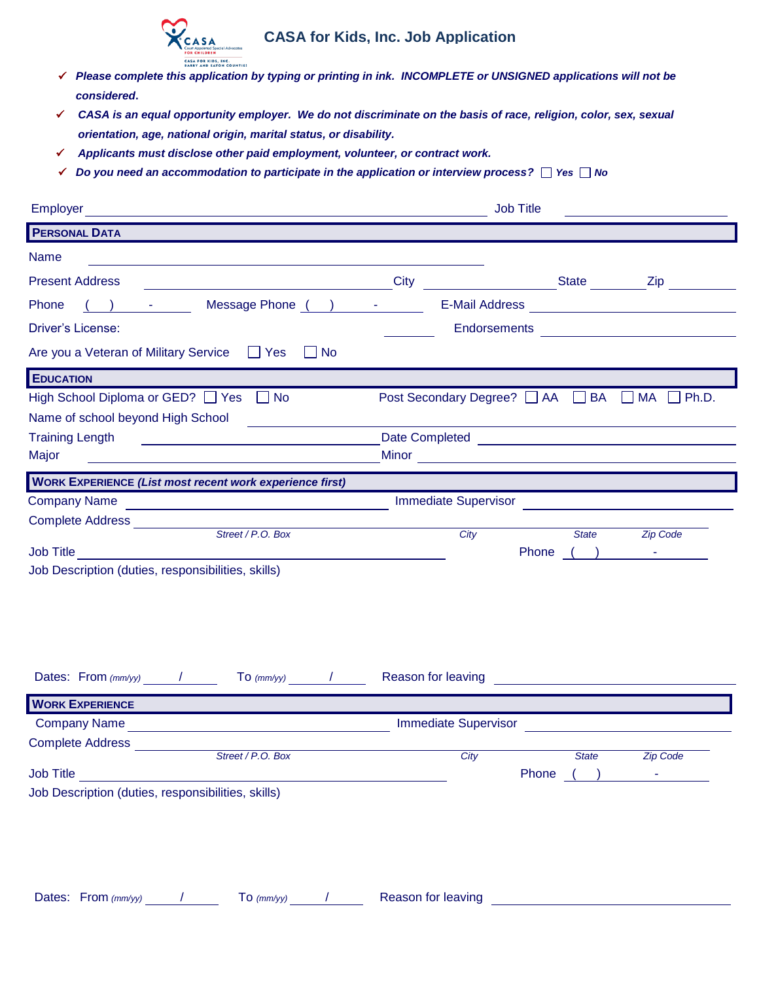

## **CASA for Kids, Inc. Job Application**

- *Please complete this application by typing or printing in ink. INCOMPLETE or UNSIGNED applications will not be considered***.**
- *CASA is an equal opportunity employer. We do not discriminate on the basis of race, religion, color, sex, sexual orientation, age, national origin, marital status, or disability.*
- *Applicants must disclose other paid employment, volunteer, or contract work.*
- *Do you need an accommodation to participate in the application or interview process?**Yes**No*

| <b>Employer</b>                                                                                                                                 | <b>Job Title</b>                              |  |  |  |  |  |  |
|-------------------------------------------------------------------------------------------------------------------------------------------------|-----------------------------------------------|--|--|--|--|--|--|
| <b>PERSONAL DATA</b>                                                                                                                            |                                               |  |  |  |  |  |  |
| <b>Name</b>                                                                                                                                     |                                               |  |  |  |  |  |  |
| <b>Present Address</b>                                                                                                                          | City City State Zip                           |  |  |  |  |  |  |
| Message Phone ( ) -<br>Phone<br>$($ ) $-$                                                                                                       |                                               |  |  |  |  |  |  |
| Driver's License:                                                                                                                               | Endorsements <u>_________________________</u> |  |  |  |  |  |  |
| Are you a Veteran of Military Service T Yes No                                                                                                  |                                               |  |  |  |  |  |  |
| <b>EDUCATION</b>                                                                                                                                |                                               |  |  |  |  |  |  |
| High School Diploma or GED? □ Yes □ No                                                                                                          | Post Secondary Degree? AA BA AM A Ph.D.       |  |  |  |  |  |  |
| Name of school beyond High School                                                                                                               |                                               |  |  |  |  |  |  |
| <b>Training Length</b><br><u> 1989 - Johann Harry Harry Harry Harry Harry Harry Harry Harry Harry Harry Harry Harry Harry Harry Harry Harry</u> |                                               |  |  |  |  |  |  |
| Major                                                                                                                                           |                                               |  |  |  |  |  |  |
| <b>WORK EXPERIENCE (List most recent work experience first)</b>                                                                                 |                                               |  |  |  |  |  |  |
| <b>Company Name</b><br><u> 1989 - Johann Barbara, martxa alemaniar a</u>                                                                        |                                               |  |  |  |  |  |  |
| Complete Address ____________                                                                                                                   |                                               |  |  |  |  |  |  |
| Street / P.O. Box                                                                                                                               | City<br>State State<br><b>Zip Code</b>        |  |  |  |  |  |  |
| <b>Job Title</b><br>Job Description (duties, responsibilities, skills)                                                                          | Phone ( ) -                                   |  |  |  |  |  |  |
|                                                                                                                                                 |                                               |  |  |  |  |  |  |
|                                                                                                                                                 |                                               |  |  |  |  |  |  |
|                                                                                                                                                 |                                               |  |  |  |  |  |  |
|                                                                                                                                                 |                                               |  |  |  |  |  |  |
|                                                                                                                                                 |                                               |  |  |  |  |  |  |
| $\frac{1}{\sqrt{1-\frac{1}{2}}\sqrt{1-\frac{1}{2}}\sqrt{1-\frac{1}{2}}\sqrt{1-\frac{1}{2}}}}$<br>Dates: From $\langle mm/yy \rangle$ /          |                                               |  |  |  |  |  |  |
| <b>WORK EXPERIENCE</b>                                                                                                                          |                                               |  |  |  |  |  |  |
| <b>Company Name</b><br><u> 1989 - Johann Barn, fransk politik (d. 1989)</u>                                                                     |                                               |  |  |  |  |  |  |
| <b>Complete Address</b>                                                                                                                         |                                               |  |  |  |  |  |  |
| Street / P.O. Box                                                                                                                               | City<br><b>State</b><br><b>Zip Code</b>       |  |  |  |  |  |  |
|                                                                                                                                                 | Phone $($ $)$ $-$                             |  |  |  |  |  |  |
| Job Description (duties, responsibilities, skills)                                                                                              |                                               |  |  |  |  |  |  |
|                                                                                                                                                 |                                               |  |  |  |  |  |  |
|                                                                                                                                                 |                                               |  |  |  |  |  |  |
|                                                                                                                                                 |                                               |  |  |  |  |  |  |
|                                                                                                                                                 |                                               |  |  |  |  |  |  |
|                                                                                                                                                 |                                               |  |  |  |  |  |  |